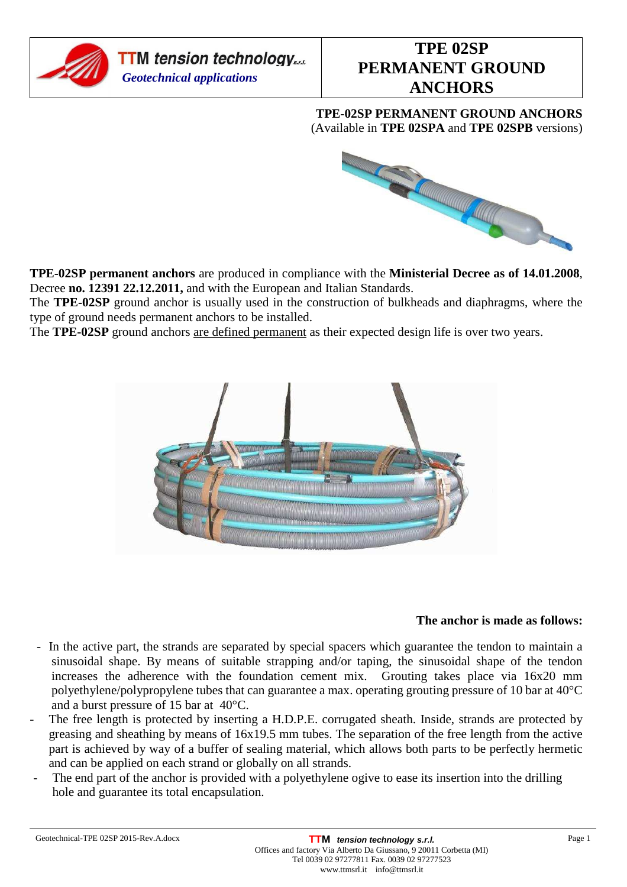

# **TPE 02SP PERMANENT GROUND ANCHORS**

**TPE-02SP PERMANENT GROUND ANCHORS**  (Available in **TPE 02SPA** and **TPE 02SPB** versions)



**TPE-02SP permanent anchors** are produced in compliance with the **Ministerial Decree as of 14.01.2008**, Decree **no. 12391 22.12.2011,** and with the European and Italian Standards.

The **TPE-02SP** ground anchor is usually used in the construction of bulkheads and diaphragms, where the type of ground needs permanent anchors to be installed.

The **TPE-02SP** ground anchors are defined permanent as their expected design life is over two years.



## **The anchor is made as follows:**

- In the active part, the strands are separated by special spacers which guarantee the tendon to maintain a sinusoidal shape. By means of suitable strapping and/or taping, the sinusoidal shape of the tendon increases the adherence with the foundation cement mix. Grouting takes place via 16x20 mm polyethylene/polypropylene tubes that can guarantee a max. operating grouting pressure of 10 bar at 40°C and a burst pressure of 15 bar at 40°C.
- The free length is protected by inserting a H.D.P.E. corrugated sheath. Inside, strands are protected by greasing and sheathing by means of 16x19.5 mm tubes. The separation of the free length from the active part is achieved by way of a buffer of sealing material, which allows both parts to be perfectly hermetic and can be applied on each strand or globally on all strands.
- The end part of the anchor is provided with a polyethylene ogive to ease its insertion into the drilling hole and guarantee its total encapsulation.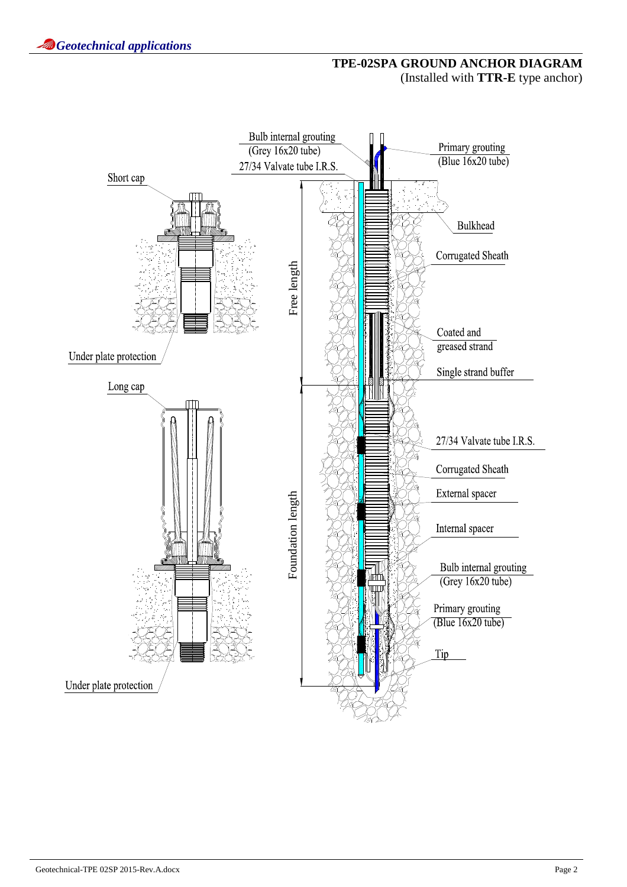## **TPE-02SPA GROUND ANCHOR DIAGRAM**  (Installed with **TTR-E** type anchor)

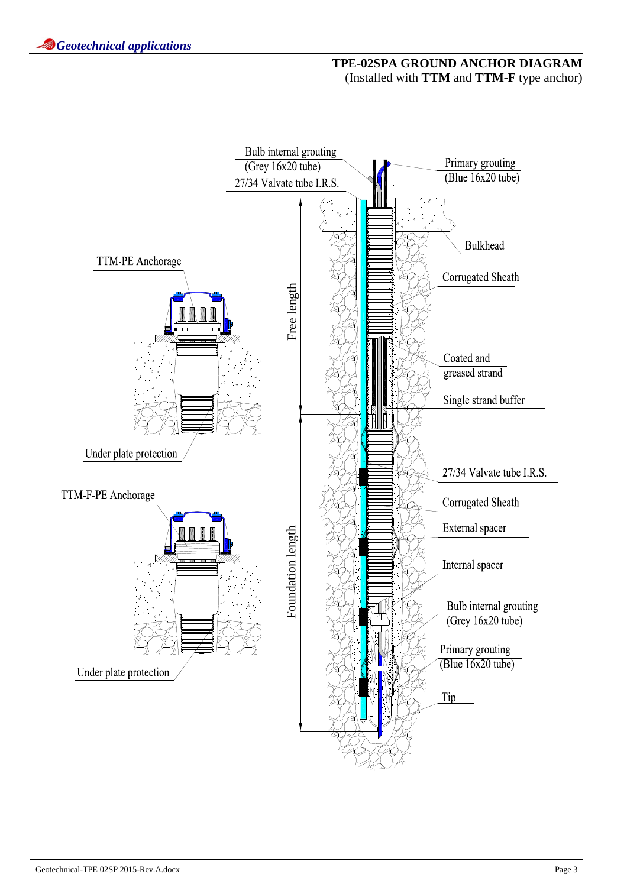## **TPE-02SPA GROUND ANCHOR DIAGRAM**  (Installed with **TTM** and **TTM-F** type anchor)

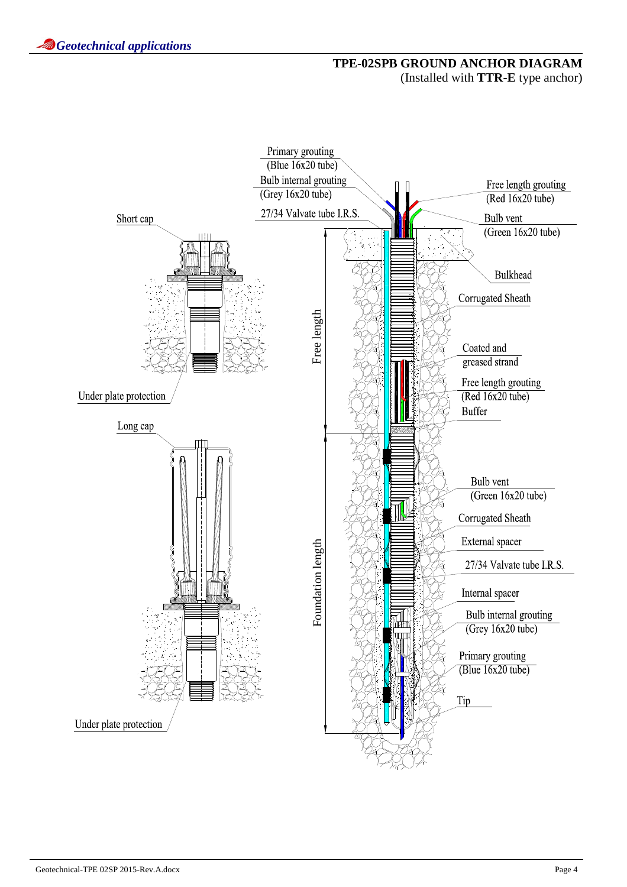## **TPE-02SPB GROUND ANCHOR DIAGRAM**  (Installed with **TTR-E** type anchor)